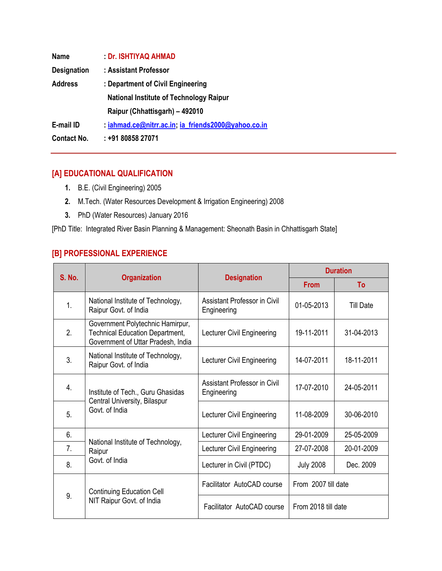| <b>Name</b>        | Dr. ISHTIYAQ AHMAD                                  |  |  |
|--------------------|-----------------------------------------------------|--|--|
| <b>Designation</b> | : Assistant Professor                               |  |  |
| <b>Address</b>     | : Department of Civil Engineering                   |  |  |
|                    | <b>National Institute of Technology Raipur</b>      |  |  |
|                    | Raipur (Chhattisgarh) - 492010                      |  |  |
| E-mail ID          | : iahmad.ce@nitrr.ac.in; ia_friends2000@yahoo.co.in |  |  |
| <b>Contact No.</b> | : +91 80858 27071                                   |  |  |

# **[A] EDUCATIONAL QUALIFICATION**

- **1.** B.E. (Civil Engineering) 2005
- **2.** M.Tech. (Water Resources Development & Irrigation Engineering) 2008
- **3.** PhD (Water Resources) January 2016

[PhD Title: Integrated River Basin Planning & Management: Sheonath Basin in Chhattisgarh State]

# **[B] PROFESSIONAL EXPERIENCE**

| <b>S. No.</b> |                                                                                                                  | <b>Designation</b>                          | <b>Duration</b>     |                  |
|---------------|------------------------------------------------------------------------------------------------------------------|---------------------------------------------|---------------------|------------------|
|               | <b>Organization</b>                                                                                              |                                             | <b>From</b>         | To               |
| $\mathbf{1}$  | National Institute of Technology,<br>Raipur Govt. of India                                                       | Assistant Professor in Civil<br>Engineering | 01-05-2013          | <b>Till Date</b> |
| 2.            | Government Polytechnic Hamirpur,<br><b>Technical Education Department,</b><br>Government of Uttar Pradesh, India | Lecturer Civil Engineering                  | 19-11-2011          | 31-04-2013       |
| 3.            | National Institute of Technology,<br>Raipur Govt. of India                                                       | Lecturer Civil Engineering                  | 14-07-2011          | 18-11-2011       |
| 4.            | Institute of Tech., Guru Ghasidas                                                                                | Assistant Professor in Civil<br>Engineering | 17-07-2010          | 24-05-2011       |
| 5.            | Central University, Bilaspur<br>Govt. of India                                                                   | Lecturer Civil Engineering                  | 11-08-2009          | 30-06-2010       |
| 6.            | National Institute of Technology,<br>Raipur<br>Govt. of India                                                    | Lecturer Civil Engineering                  | 29-01-2009          | 25-05-2009       |
| 7.            |                                                                                                                  | Lecturer Civil Engineering                  | 27-07-2008          | 20-01-2009       |
| 8.            |                                                                                                                  | Lecturer in Civil (PTDC)                    | <b>July 2008</b>    | Dec. 2009        |
| 9.            | <b>Continuing Education Cell</b>                                                                                 | Facilitator AutoCAD course                  | From 2007 till date |                  |
|               | NIT Raipur Govt. of India                                                                                        | Facilitator AutoCAD course                  | From 2018 till date |                  |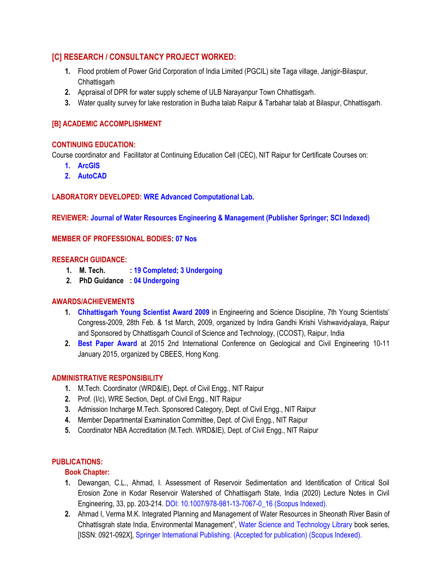# **[C] RESEARCH / CONSULTANCY PROJECT WORKED:**

- **1.** Flood problem of Power Grid Corporation of India Limited (PGCIL) site Taga village, Janjgir-Bilaspur, **Chhattisgarh**
- **2.** Appraisal of DPR for water supply scheme of ULB Narayanpur Town Chhattisgarh.
- **3.** Water quality survey for lake restoration in Budha talab Raipur & Tarbahar talab at Bilaspur, Chhattisgarh.

## **[B] ACADEMIC ACCOMPLISHMENT**

#### **CONTINUING EDUCATION:**

Course coordinator and Facilitator at Continuing Education Cell (CEC), NIT Raipur for Certificate Courses on:

- **1. ArcGIS**
- **2. AutoCAD**

**LABORATORY DEVELOPED: WRE Advanced Computational Lab.**

**REVIEWER: Journal of Water Resources Engineering & Management (Publisher Springer; SCI Indexed)**

#### **MEMBER OF PROFESSIONAL BODIES: 07 Nos**

#### **RESEARCH GUIDANCE:**

- **1. M. Tech. : 19 Completed; 3 Undergoing**
- **2. PhD Guidance : 04 Undergoing**

### **AWARDS/ACHIEVEMENTS**

- **1. Chhattisgarh Young Scientist Award 2009** in Engineering and Science Discipline, 7th Young Scientists' Congress-2009, 28th Feb. & 1st March, 2009, organized by Indira Gandhi Krishi Vishwavidyalaya, Raipur and Sponsored by Chhattisgarh Council of Science and Technology, (CCOST), Raipur, India
- **2. Best Paper Award** at 2015 2nd International Conference on Geological and Civil Engineering 10-11 January 2015, organized by CBEES, Hong Kong.

# **ADMINISTRATIVE RESPONSIBILITY**

- **1.** M.Tech. Coordinator (WRD&IE), Dept. of Civil Engg., NIT Raipur
- **2.** Prof. (I/c), WRE Section, Dept. of Civil Engg., NIT Raipur
- **3.** Admission Incharge M.Tech. Sponsored Category, Dept. of Civil Engg., NIT Raipur
- **4.** Member Departmental Examination Committee, Dept. of Civil Engg., NIT Raipur
- **5.** Coordinator NBA Accreditation (M.Tech. WRD&IE), Dept. of Civil Engg., NIT Raipur

## **PUBLICATIONS:**

### **Book Chapter:**

- **1.** Dewangan, C.L., Ahmad, I. Assessment of Reservoir Sedimentation and Identification of Critical Soil Erosion Zone in Kodar Reservoir Watershed of Chhattisgarh State, India (2020) Lecture Notes in Civil Engineering, 33, pp. 203-214. DOI: 10.1007/978-981-13-7067-0\_16 (Scopus Indexed).
- **2.** Ahmad I, Verma M.K. Integrated Planning and Management of Water Resources in Sheonath River Basin of Chhattisgrah state India, Environmental Management", Water Science and Technology Library book series, [ISSN: 0921-092X], Springer International Publishing. (Accepted for publication) (Scopus Indexed).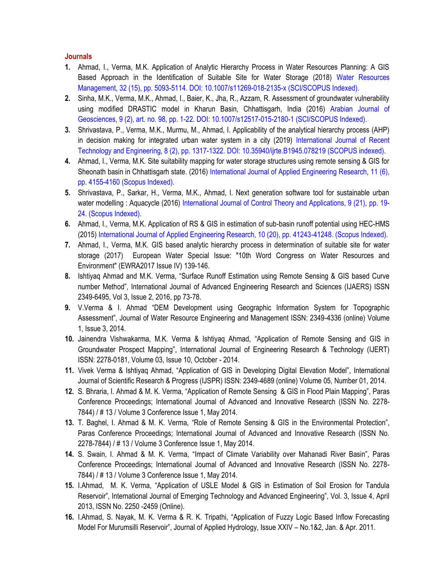#### **Journals**

- **1.** Ahmad, I., Verma, M.K. Application of Analytic Hierarchy Process in Water Resources Planning: A GIS Based Approach in the Identification of Suitable Site for Water Storage (2018) Water Resources Management, 32 (15), pp. 5093-5114. DOI: 10.1007/s11269-018-2135-x (SCI/SCOPUS Indexed).
- **2.** Sinha, M.K., Verma, M.K., Ahmad, I., Baier, K., Jha, R., Azzam, R. Assessment of groundwater vulnerability using modified DRASTIC model in Kharun Basin, Chhattisgarh, India (2016) Arabian Journal of Geosciences, 9 (2), art. no. 98, pp. 1-22. DOI: 10.1007/s12517-015-2180-1 (SCI/SCOPUS Indexed).
- **3.** Shrivastava, P., Verma, M.K., Murmu, M., Ahmad, I. Applicability of the analytical hierarchy process (AHP) in decision making for integrated urban water system in a city (2019) International Journal of Recent Technology and Engineering, 8 (2), pp. 1317-1322. DOI: 10.35940/ijrte.B1945.078219 (SCOPUS indexed).
- **4.** Ahmad, I., Verma, M.K. Site suitability mapping for water storage structures using remote sensing & GIS for Sheonath basin in Chhattisgarh state. (2016) International Journal of Applied Engineering Research, 11 (6), pp. 4155-4160 (Scopus Indexed).
- **5.** Shrivastava, P., Sarkar, H., Verma, M.K., Ahmad, I. Next generation software tool for sustainable urban water modelling : Aquacycle (2016) International Journal of Control Theory and Applications, 9 (21), pp. 19- 24. (Scopus Indexed).
- **6.** Ahmad, I., Verma, M.K. Application of RS & GIS in estimation of sub-basin runoff potential using HEC-HMS (2015) International Journal of Applied Engineering Research, 10 (20), pp. 41243-41248. (Scopus Indexed).
- **7.** Ahmad, I., Verma, M.K. GIS based analytic hierarchy process in determination of suitable site for water storage (2017) European Water Special Issue: "10th Word Congress on Water Resources and Environment" (EWRA2017 Issue IV) 139-146.
- **8.** Ishtiyaq Ahmad and M.K. Verma, "Surface Runoff Estimation using Remote Sensing & GIS based Curve number Method", International Journal of Advanced Engineering Research and Sciences (IJAERS) ISSN 2349-6495, Vol 3, Issue 2, 2016, pp 73-78.
- **9.** V.Verma & I. Ahmad "DEM Development using Geographic Information System for Topographic Assessment", Journal of Water Resource Engineering and Management ISSN: 2349-4336 (online) Volume 1, Issue 3, 2014.
- **10.** Jainendra Vishwakarma, M.K. Verma & Ishtiyaq Ahmad, "Application of Remote Sensing and GIS in Groundwater Prospect Mapping", International Journal of Engineering Research & Technology (IJERT) ISSN: 2278-0181, Volume 03, Issue 10, October - 2014.
- **11.** Vivek Verma & Ishtiyaq Ahmad, "Application of GIS in Developing Digital Elevation Model", International Journal of Scientific Research & Progress (IJSPR) ISSN: 2349-4689 (online) Volume 05, Number 01, 2014.
- **12.** S. Bhraria, I. Ahmad & M. K. Verma, "Application of Remote Sensing & GIS in Flood Plain Mapping", Paras Conference Proceedings; International Journal of Advanced and Innovative Research (ISSN No. 2278- 7844) / # 13 / Volume 3 Conference Issue 1, May 2014.
- **13.** T. Baghel, I. Ahmad & M. K. Verma, "Role of Remote Sensing & GIS in the Environmental Protection", Paras Conference Proceedings; International Journal of Advanced and Innovative Research (ISSN No. 2278-7844) / # 13 / Volume 3 Conference Issue 1, May 2014.
- **14.** S. Swain, I. Ahmad & M. K. Verma, "Impact of Climate Variability over Mahanadi River Basin", Paras Conference Proceedings; International Journal of Advanced and Innovative Research (ISSN No. 2278- 7844) / # 13 / Volume 3 Conference Issue 1, May 2014.
- **15.** I.Ahmad, M. K. Verma, "Application of USLE Model & GIS in Estimation of Soil Erosion for Tandula Reservoir", International Journal of Emerging Technology and Advanced Engineering", Vol. 3, Issue 4, April 2013, ISSN No. 2250 -2459 (Online).
- **16.** I.Ahmad, S. Nayak, M. K. Verma & R. K. Tripathi, "Application of Fuzzy Logic Based Inflow Forecasting Model For Murumsilli Reservoir", Journal of Applied Hydrology, Issue XXIV – No.1&2, Jan. & Apr. 2011.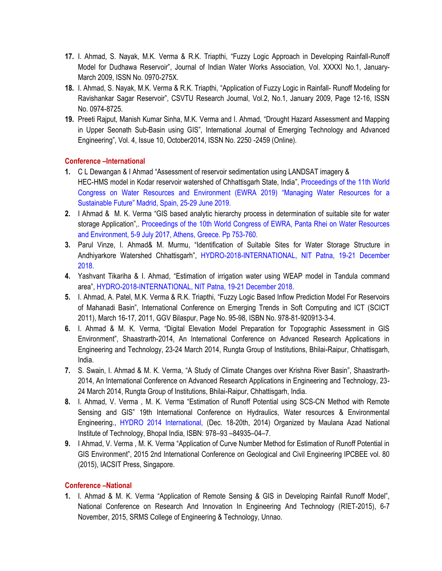- **17.** I. Ahmad, S. Nayak, M.K. Verma & R.K. Triapthi, "Fuzzy Logic Approach in Developing Rainfall-Runoff Model for Dudhawa Reservoir", Journal of Indian Water Works Association, Vol. XXXXI No.1, January-March 2009, ISSN No. 0970-275X.
- **18.** I. Ahmad, S. Nayak, M.K. Verma & R.K. Triapthi, "Application of Fuzzy Logic in Rainfall- Runoff Modeling for Ravishankar Sagar Reservoir", CSVTU Research Journal, Vol.2, No.1, January 2009, Page 12-16, ISSN No. 0974-8725.
- **19.** Preeti Rajput, Manish Kumar Sinha, M.K. Verma and I. Ahmad, "Drought Hazard Assessment and Mapping in Upper Seonath Sub-Basin using GIS", International Journal of Emerging Technology and Advanced Engineering", Vol. 4, Issue 10, October2014, ISSN No. 2250 -2459 (Online).

### **Conference –International**

- **1.** C L Dewangan & I Ahmad "Assessment of reservoir sedimentation using LANDSAT imagery & HEC-HMS model in Kodar reservoir watershed of Chhattisgarh State, India", Proceedings of the 11th World Congress on Water Resources and Environment (EWRA 2019) "Managing Water Resources for a Sustainable Future" Madrid, Spain, 25-29 June 2019.
- **2.** I Ahmad & M. K. Verma "GIS based analytic hierarchy process in determination of suitable site for water storage Application",. Proceedings of the 10th World Congress of EWRA, Panta Rhei on Water Resources and Environment, 5-9 July 2017, Athens, Greece. Pp 753-760.
- **3.** Parul Vinze, I. Ahmad& M. Murmu, "Identification of Suitable Sites for Water Storage Structure in Andhiyarkore Watershed Chhattisgarh", HYDRO-2018-INTERNATIONAL, NIT Patna, 19-21 December 2018.
- **4.** Yashvant Tikariha & I. Ahmad, "Estimation of irrigation water using WEAP model in Tandula command area", HYDRO-2018-INTERNATIONAL, NIT Patna, 19-21 December 2018.
- **5.** I. Ahmad, A. Patel, M.K. Verma & R.K. Triapthi, "Fuzzy Logic Based Inflow Prediction Model For Reservoirs of Mahanadi Basin", International Conference on Emerging Trends in Soft Computing and ICT (SCICT 2011), March 16-17, 2011, GGV Bilaspur, Page No. 95-98, ISBN No. 978-81-920913-3-4.
- **6.** I. Ahmad & M. K. Verma, "Digital Elevation Model Preparation for Topographic Assessment in GIS Environment", Shaastrarth-2014, An International Conference on Advanced Research Applications in Engineering and Technology, 23-24 March 2014, Rungta Group of Institutions, Bhilai-Raipur, Chhattisgarh, India.
- **7.** S. Swain, I. Ahmad & M. K. Verma, "A Study of Climate Changes over Krishna River Basin", Shaastrarth-2014, An International Conference on Advanced Research Applications in Engineering and Technology, 23- 24 March 2014, Rungta Group of Institutions, Bhilai-Raipur, Chhattisgarh, India.
- **8.** I. Ahmad, V. Verma , M. K. Verma "Estimation of Runoff Potential using SCS-CN Method with Remote Sensing and GIS" 19th International Conference on Hydraulics, Water resources & Environmental Engineering., HYDRO 2014 International, (Dec. 18-20th, 2014) Organized by Maulana Azad National Institute of Technology, Bhopal India, ISBN: 978–93 –84935–04–7.
- **9.** I Ahmad, V. Verma , M. K. Verma "Application of Curve Number Method for Estimation of Runoff Potential in GIS Environment", 2015 2nd International Conference on Geological and Civil Engineering IPCBEE vol. 80 (2015), IACSIT Press, Singapore.

### **Conference –National**

**1.** I. Ahmad & M. K. Verma "Application of Remote Sensing & GIS in Developing Rainfall Runoff Model", National Conference on Research And Innovation In Engineering And Technology (RIET-2015), 6-7 November, 2015, SRMS College of Engineering & Technology, Unnao.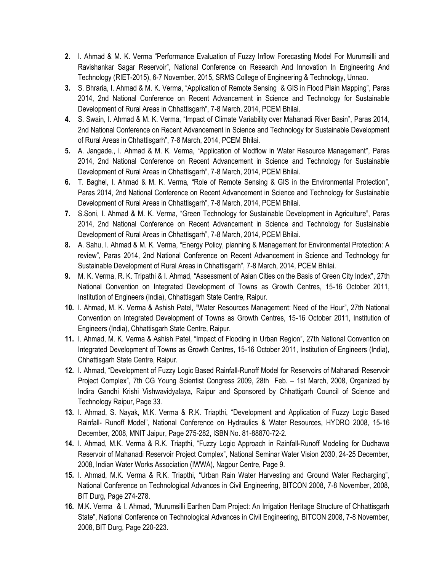- **2.** I. Ahmad & M. K. Verma "Performance Evaluation of Fuzzy Inflow Forecasting Model For Murumsilli and Ravishankar Sagar Reservoir", National Conference on Research And Innovation In Engineering And Technology (RIET-2015), 6-7 November, 2015, SRMS College of Engineering & Technology, Unnao.
- **3.** S. Bhraria, I. Ahmad & M. K. Verma, "Application of Remote Sensing & GIS in Flood Plain Mapping", Paras 2014, 2nd National Conference on Recent Advancement in Science and Technology for Sustainable Development of Rural Areas in Chhattisgarh", 7-8 March, 2014, PCEM Bhilai.
- **4.** S. Swain, I. Ahmad & M. K. Verma, "Impact of Climate Variability over Mahanadi River Basin", Paras 2014, 2nd National Conference on Recent Advancement in Science and Technology for Sustainable Development of Rural Areas in Chhattisgarh", 7-8 March, 2014, PCEM Bhilai.
- **5.** A. Jangade., I. Ahmad & M. K. Verma, "Application of Modflow in Water Resource Management", Paras 2014, 2nd National Conference on Recent Advancement in Science and Technology for Sustainable Development of Rural Areas in Chhattisgarh", 7-8 March, 2014, PCEM Bhilai.
- **6.** T. Baghel, I. Ahmad & M. K. Verma, "Role of Remote Sensing & GIS in the Environmental Protection", Paras 2014, 2nd National Conference on Recent Advancement in Science and Technology for Sustainable Development of Rural Areas in Chhattisgarh", 7-8 March, 2014, PCEM Bhilai.
- **7.** S.Soni, I. Ahmad & M. K. Verma, "Green Technology for Sustainable Development in Agriculture", Paras 2014, 2nd National Conference on Recent Advancement in Science and Technology for Sustainable Development of Rural Areas in Chhattisgarh", 7-8 March, 2014, PCEM Bhilai.
- **8.** A. Sahu, I. Ahmad & M. K. Verma, "Energy Policy, planning & Management for Environmental Protection: A review", Paras 2014, 2nd National Conference on Recent Advancement in Science and Technology for Sustainable Development of Rural Areas in Chhattisgarh", 7-8 March, 2014, PCEM Bhilai.
- **9.** M. K. Verma, R. K. Tripathi & I. Ahmad, "Assessment of Asian Cities on the Basis of Green City Index", 27th National Convention on Integrated Development of Towns as Growth Centres, 15-16 October 2011, Institution of Engineers (India), Chhattisgarh State Centre, Raipur.
- **10.** I. Ahmad, M. K. Verma & Ashish Patel, "Water Resources Management: Need of the Hour", 27th National Convention on Integrated Development of Towns as Growth Centres, 15-16 October 2011, Institution of Engineers (India), Chhattisgarh State Centre, Raipur.
- **11.** I. Ahmad, M. K. Verma & Ashish Patel, "Impact of Flooding in Urban Region", 27th National Convention on Integrated Development of Towns as Growth Centres, 15-16 October 2011, Institution of Engineers (India), Chhattisgarh State Centre, Raipur.
- **12.** I. Ahmad, "Development of Fuzzy Logic Based Rainfall-Runoff Model for Reservoirs of Mahanadi Reservoir Project Complex", 7th CG Young Scientist Congress 2009, 28th Feb. – 1st March, 2008, Organized by Indira Gandhi Krishi Vishwavidyalaya, Raipur and Sponsored by Chhattigarh Council of Science and Technology Raipur, Page 33.
- **13.** I. Ahmad, S. Nayak, M.K. Verma & R.K. Triapthi, "Development and Application of Fuzzy Logic Based Rainfall- Runoff Model", National Conference on Hydraulics & Water Resources, HYDRO 2008, 15-16 December, 2008, MNIT Jaipur, Page 275-282, ISBN No. 81-88870-72-2.
- **14.** I. Ahmad, M.K. Verma & R.K. Triapthi, "Fuzzy Logic Approach in Rainfall-Runoff Modeling for Dudhawa Reservoir of Mahanadi Reservoir Project Complex", National Seminar Water Vision 2030, 24-25 December, 2008, Indian Water Works Association (IWWA), Nagpur Centre, Page 9.
- **15.** I. Ahmad, M.K. Verma & R.K. Triapthi, "Urban Rain Water Harvesting and Ground Water Recharging", National Conference on Technological Advances in Civil Engineering, BITCON 2008, 7-8 November, 2008, BIT Durg, Page 274-278.
- **16.** M.K. Verma & I. Ahmad, "Murumsilli Earthen Dam Project: An Irrigation Heritage Structure of Chhattisgarh State", National Conference on Technological Advances in Civil Engineering, BITCON 2008, 7-8 November, 2008, BIT Durg, Page 220-223.